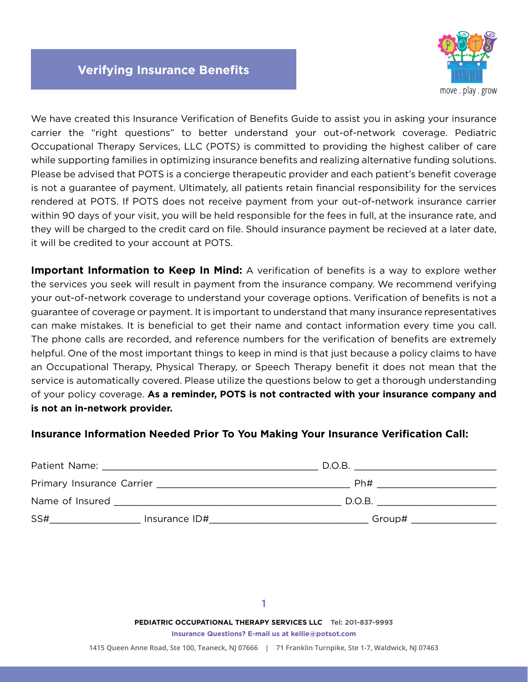

We have created this Insurance Verification of Benefits Guide to assist you in asking your insurance carrier the "right questions" to better understand your out-of-network coverage. Pediatric Occupational Therapy Services, LLC (POTS) is committed to providing the highest caliber of care while supporting families in optimizing insurance benefits and realizing alternative funding solutions. Please be advised that POTS is a concierge therapeutic provider and each patient's benefit coverage is not a guarantee of payment. Ultimately, all patients retain financial responsibility for the services rendered at POTS. If POTS does not receive payment from your out-of-network insurance carrier within 90 days of your visit, you will be held responsible for the fees in full, at the insurance rate, and they will be charged to the credit card on file. Should insurance payment be recieved at a later date, it will be credited to your account at POTS.

**Important Information to Keep In Mind:** A verification of benefits is a way to explore wether the services you seek will result in payment from the insurance company. We recommend verifying your out-of-network coverage to understand your coverage options. Verification of benefits is not a guarantee of coverage or payment. It is important to understand that many insurance representatives can make mistakes. It is beneficial to get their name and contact information every time you call. The phone calls are recorded, and reference numbers for the verification of benefits are extremely helpful. One of the most important things to keep in mind is that just because a policy claims to have an Occupational Therapy, Physical Therapy, or Speech Therapy benefit it does not mean that the service is automatically covered. Please utilize the questions below to get a thorough understanding of your policy coverage. **As a reminder, POTS is not contracted with your insurance company and is not an in-network provider.**

# **Insurance Information Needed Prior To You Making Your Insurance Verification Call:**

| Patient Name:   |               | D.O.B. |
|-----------------|---------------|--------|
|                 |               | Ph#    |
| Name of Insured |               | D.O.B. |
| SS#             | Insurance ID# | Group# |

**PEDIATRIC OCCUPATIONAL THERAPY SERVICES LLC Tel: 201-837-9993 Insurance Questions? E-mail us at kellie@potsot.com**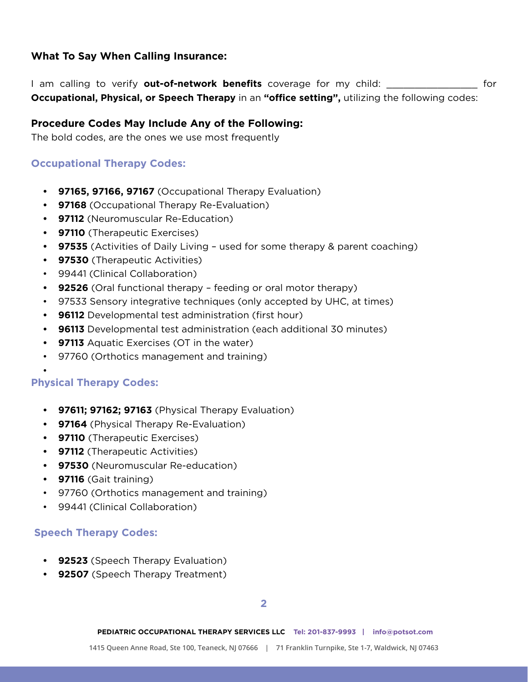# **What To Say When Calling Insurance:**

I am calling to verify **out-of-network benefits** coverage for my child: \_\_\_\_\_\_\_\_\_\_\_\_\_\_\_\_ for **Occupational, Physical, or Speech Therapy** in an **"office setting",** utilizing the following codes:

# **Procedure Codes May Include Any of the Following:**

The bold codes, are the ones we use most frequently

# **Occupational Therapy Codes:**

- **• 97165, 97166, 97167** (Occupational Therapy Evaluation)
- **• 97168** (Occupational Therapy Re-Evaluation)
- **• 97112** (Neuromuscular Re-Education)
- **• 97110** (Therapeutic Exercises)
- **• 97535** (Activities of Daily Living used for some therapy & parent coaching)
- **• 97530** (Therapeutic Activities)
- 99441 (Clinical Collaboration)
- **• 92526** (Oral functional therapy feeding or oral motor therapy)
- 97533 Sensory integrative techniques (only accepted by UHC, at times)
- **• 96112** Developmental test administration (first hour)
- **• 96113** Developmental test administration (each additional 30 minutes)
- **• 97113** Aquatic Exercises (OT in the water)
- 97760 (Orthotics management and training)

# **Physical Therapy Codes:**

•

- **• 97611; 97162; 97163** (Physical Therapy Evaluation)
- **• 97164** (Physical Therapy Re-Evaluation)
- **• 97110** (Therapeutic Exercises)
- **• 97112** (Therapeutic Activities)
- **• 97530** (Neuromuscular Re-education)
- **• 97116** (Gait training)
- 97760 (Orthotics management and training)
- 99441 (Clinical Collaboration)

# **Speech Therapy Codes:**

- **• 92523** (Speech Therapy Evaluation)
- **• 92507** (Speech Therapy Treatment)

**2**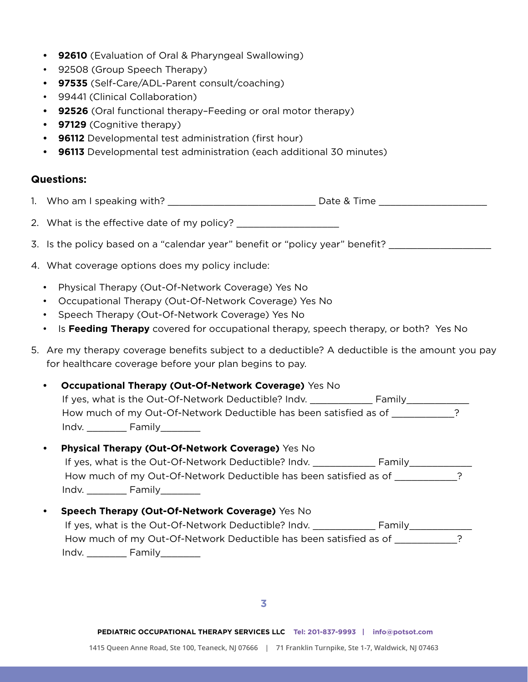- **• 92610** (Evaluation of Oral & Pharyngeal Swallowing)
- 92508 (Group Speech Therapy)
- **• 97535** (Self-Care/ADL-Parent consult/coaching)
- 99441 (Clinical Collaboration)
- **• 92526** (Oral functional therapy–Feeding or oral motor therapy)
- **• 97129** (Cognitive therapy)
- **• 96112** Developmental test administration (first hour)
- **• 96113** Developmental test administration (each additional 30 minutes)

#### **Questions:**

- 1. Who am I speaking with? \_\_\_\_\_\_\_\_\_\_\_\_\_\_\_\_\_\_\_\_\_\_\_\_\_\_ Date & Time \_\_\_\_\_\_\_\_\_\_\_\_\_\_\_\_\_\_\_
- 2. What is the effective date of my policy? \_\_\_\_\_\_\_\_\_\_\_\_\_\_\_\_\_\_
- 3. Is the policy based on a "calendar year" benefit or "policy year" benefit?
- 4. What coverage options does my policy include:
	- Physical Therapy (Out-Of-Network Coverage) Yes No
	- Occupational Therapy (Out-Of-Network Coverage) Yes No
	- Speech Therapy (Out-Of-Network Coverage) Yes No
	- Is **Feeding Therapy** covered for occupational therapy, speech therapy, or both? Yes No
- 5. Are my therapy coverage benefits subject to a deductible? A deductible is the amount you pay for healthcare coverage before your plan begins to pay.

#### **Occupational Therapy (Out-Of-Network Coverage)** Yes No

|       | If yes, what is the Out-Of-Network Deductible? Indy.              | Family |  |
|-------|-------------------------------------------------------------------|--------|--|
|       | How much of my Out-Of-Network Deductible has been satisfied as of |        |  |
| Indv. | <b>Family</b>                                                     |        |  |

#### **• Physical Therapy (Out-Of-Network Coverage)** Yes No

|       | If yes, what is the Out-Of-Network Deductible? Indy.              | Family |  |
|-------|-------------------------------------------------------------------|--------|--|
|       | How much of my Out-Of-Network Deductible has been satisfied as of |        |  |
| Indv. | Family                                                            |        |  |

# **• Speech Therapy (Out-Of-Network Coverage)** Yes No If yes, what is the Out-Of-Network Deductible? Indv. \_\_\_\_\_\_\_\_\_\_\_\_\_\_\_\_\_\_\_\_\_\_\_\_\_\_\_ How much of my Out-Of-Network Deductible has been satisfied as of \_\_\_\_\_\_\_\_\_\_\_? Indv. \_\_\_\_\_\_\_ Family\_\_\_\_\_\_\_

**3**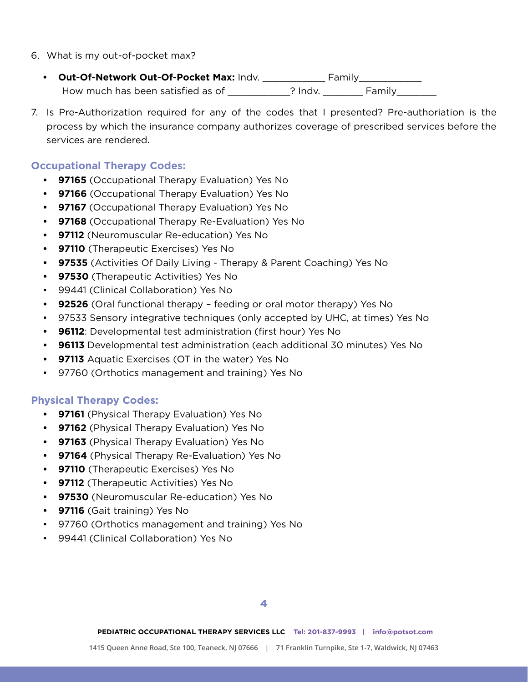- 6. What is my out-of-pocket max?
	- **Out-Of-Network Out-Of-Pocket Max:** Indv. \_\_\_\_\_\_\_\_\_\_\_\_\_\_ Family\_\_\_\_\_\_\_\_\_\_\_\_\_\_\_ How much has been satisfied as of \_\_\_\_\_\_\_\_\_\_\_? Indv. \_\_\_\_\_\_\_\_ Family\_\_\_\_\_\_\_\_\_\_\_\_
- 7. Is Pre-Authorization required for any of the codes that I presented? Pre-authoriation is the process by which the insurance company authorizes coverage of prescribed services before the services are rendered.

# **Occupational Therapy Codes:**

- **• 97165** (Occupational Therapy Evaluation) Yes No
- **• 97166** (Occupational Therapy Evaluation) Yes No
- **• 97167** (Occupational Therapy Evaluation) Yes No
- **• 97168** (Occupational Therapy Re-Evaluation) Yes No
- **• 97112** (Neuromuscular Re-education) Yes No
- **• 97110** (Therapeutic Exercises) Yes No
- **• 97535** (Activities Of Daily Living Therapy & Parent Coaching) Yes No
- **• 97530** (Therapeutic Activities) Yes No
- 99441 (Clinical Collaboration) Yes No
- **• 92526** (Oral functional therapy feeding or oral motor therapy) Yes No
- 97533 Sensory integrative techniques (only accepted by UHC, at times) Yes No
- **• 96112**: Developmental test administration (first hour) Yes No
- **• 96113** Developmental test administration (each additional 30 minutes) Yes No
- **• 97113** Aquatic Exercises (OT in the water) Yes No
- 97760 (Orthotics management and training) Yes No

# **Physical Therapy Codes:**

- **• 97161** (Physical Therapy Evaluation) Yes No
- **• 97162** (Physical Therapy Evaluation) Yes No
- **• 97163** (Physical Therapy Evaluation) Yes No
- **• 97164** (Physical Therapy Re-Evaluation) Yes No
- **• 97110** (Therapeutic Exercises) Yes No
- **• 97112** (Therapeutic Activities) Yes No
- **• 97530** (Neuromuscular Re-education) Yes No
- **• 97116** (Gait training) Yes No
- 97760 (Orthotics management and training) Yes No
- 99441 (Clinical Collaboration) Yes No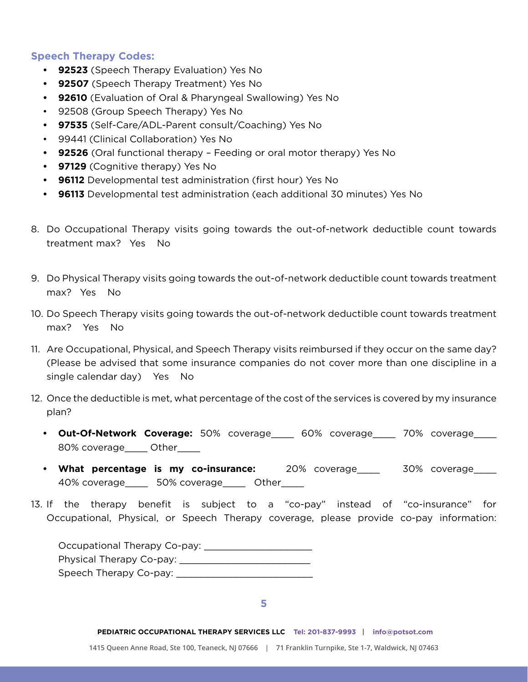## **Speech Therapy Codes:**

- **• 92523** (Speech Therapy Evaluation) Yes No
- **• 92507** (Speech Therapy Treatment) Yes No
- **• 92610** (Evaluation of Oral & Pharyngeal Swallowing) Yes No
- 92508 (Group Speech Therapy) Yes No
- **• 97535** (Self-Care/ADL-Parent consult/Coaching) Yes No
- 99441 (Clinical Collaboration) Yes No
- **• 92526** (Oral functional therapy Feeding or oral motor therapy) Yes No
- **• 97129** (Cognitive therapy) Yes No
- **• 96112** Developmental test administration (first hour) Yes No
- **• 96113** Developmental test administration (each additional 30 minutes) Yes No
- 8. Do Occupational Therapy visits going towards the out-of-network deductible count towards treatment max? Yes No
- 9. Do Physical Therapy visits going towards the out-of-network deductible count towards treatment max? Yes No
- 10. Do Speech Therapy visits going towards the out-of-network deductible count towards treatment max? Yes No
- 11. Are Occupational, Physical, and Speech Therapy visits reimbursed if they occur on the same day? (Please be advised that some insurance companies do not cover more than one discipline in a single calendar day) Yes No
- 12. Once the deductible is met, what percentage of the cost of the services is covered by my insurance plan?
	- **• Out-Of-Network Coverage:** 50% coverage\_\_\_\_ 60% coverage\_\_\_\_ 70% coverage\_\_\_\_ 80% coverage\_\_\_\_ Other\_\_\_\_
	- What percentage is my co-insurance: 20% coverage\_\_\_\_ 30% coverage\_\_\_ 40% coverage\_\_\_\_ 50% coverage\_\_\_\_ Other\_\_\_\_
- 13. If the therapy benefit is subject to a "co-pay" instead of "co-insurance" for Occupational, Physical, or Speech Therapy coverage, please provide co-pay information:

| Occupational Therapy Co-pay: |
|------------------------------|
| Physical Therapy Co-pay:     |
| Speech Therapy Co-pay:       |

**5**

**PEDIATRIC OCCUPATIONAL THERAPY SERVICES LLC Tel: 201-837-9993 | info@potsot.com**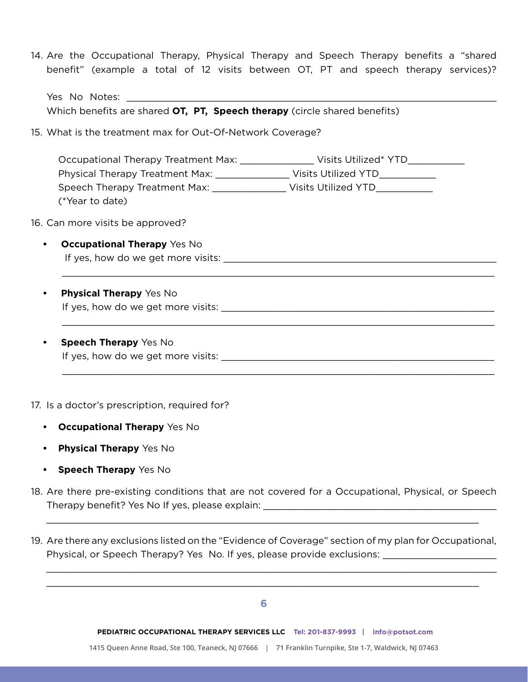14. Are the Occupational Therapy, Physical Therapy and Speech Therapy benefits a "shared benefit" (example a total of 12 visits between OT, PT and speech therapy services)?

| Voc No<br>Notes:<br>No.<br>50 |  |
|-------------------------------|--|
|                               |  |

Which benefits are shared **OT, PT, Speech therapy** (circle shared benefits)

15. What is the treatment max for Out-Of-Network Coverage?

Occupational Therapy Treatment Max: \_\_\_\_\_\_\_\_\_\_\_\_\_\_\_\_ Visits Utilized\* YTD\_\_\_\_\_\_\_\_ Physical Therapy Treatment Max: \_\_\_\_\_\_\_\_\_\_\_\_\_\_\_\_ Visits Utilized YTD\_\_\_\_\_\_\_\_\_\_\_\_ Speech Therapy Treatment Max: Visits Utilized YTD (\*Year to date)

 $\_$  , and the contribution of the contribution of the contribution of the contribution of  $\mathcal{L}_1$ 

 $\_$  , and the contribution of the contribution of the contribution of the contribution of  $\mathcal{L}_1$ 

 $\_$  , and the contribution of the contribution of the contribution of the contribution of  $\mathcal{L}_1$ 

- 16. Can more visits be approved?
	- **Occupational Therapy** Yes No If yes, how do we get more visits:  $\blacksquare$
	- **Physical Therapy** Yes No If yes, how do we get more visits: \_\_\_\_\_\_\_\_\_\_\_\_\_\_\_\_\_\_\_\_\_\_\_\_\_\_\_\_\_\_\_\_\_\_\_\_\_\_\_\_\_\_\_\_\_\_\_\_
	- **Speech Therapy** Yes No If yes, how do we get more visits: \_\_\_\_\_\_\_\_\_\_\_\_\_\_\_\_\_\_\_\_\_\_\_\_\_\_\_\_\_\_\_\_\_\_\_\_\_\_\_\_\_\_\_\_\_\_\_\_

17. Is a doctor's prescription, required for?

- **• Occupational Therapy** Yes No
- **• Physical Therapy** Yes No
- **• Speech Therapy** Yes No
- 18. Are there pre-existing conditions that are not covered for a Occupational, Physical, or Speech Therapy benefit? Yes No If yes, please explain:

 $\_$  , and the set of the set of the set of the set of the set of the set of the set of the set of the set of the set of the set of the set of the set of the set of the set of the set of the set of the set of the set of th

19. Are there any exclusions listed on the "Evidence of Coverage" section of my plan for Occupational, Physical, or Speech Therapy? Yes No. If yes, please provide exclusions:

 $\_$  , and the contribution of the contribution of the contribution of the contribution of  $\mathcal{L}_\text{max}$  $\_$  , and the contribution of the contribution of the contribution of the contribution of  $\mathcal{L}_\mathcal{A}$ 

**PEDIATRIC OCCUPATIONAL THERAPY SERVICES LLC Tel: 201-837-9993 | info@potsot.com** 

**1415 Queen Anne Road, Ste 100, Teaneck, NJ 07666 | 71 Franklin Turnpike, Ste 1-7, Waldwick, NJ 07463**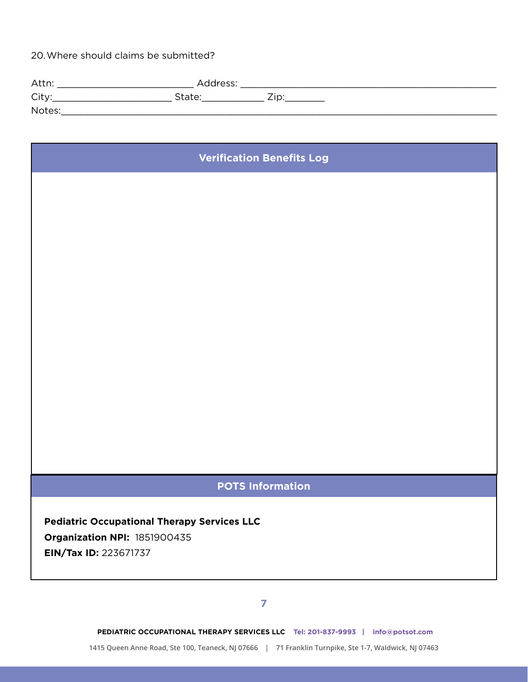20.Where should claims be submitted?

| Attn:  | Address: |     |  |
|--------|----------|-----|--|
| City:  | State:   | Zip |  |
| Notes: |          |     |  |

# **Verification Benefits Log**

# **POTS Information**

**Pediatric Occupational Therapy Services LLC Organization NPI:** 1851900435 **EIN/Tax ID:** 223671737

## **7**

**PEDIATRIC OCCUPATIONAL THERAPY SERVICES LLC Tel: 201-837-9993 | info@potsot.com** 

**1415 Queen Anne Road, Ste 100, Teaneck, NJ 07666 | 71 Franklin Turnpike, Ste 1-7, Waldwick, NJ 07463**